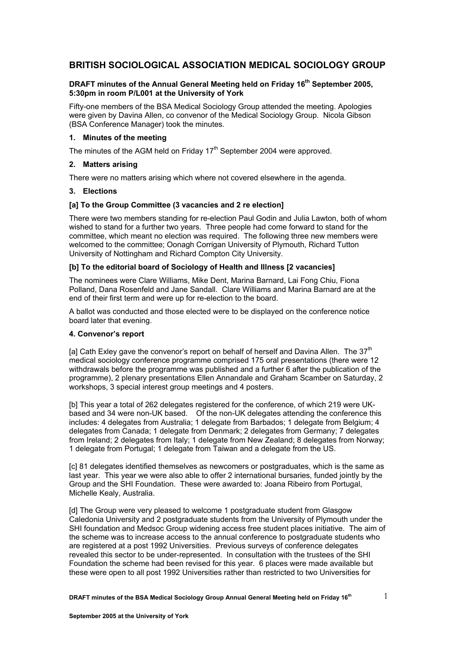# **BRITISH SOCIOLOGICAL ASSOCIATION MEDICAL SOCIOLOGY GROUP**

# **DRAFT minutes of the Annual General Meeting held on Friday 16th September 2005, 5:30pm in room P/L001 at the University of York**

Fifty-one members of the BSA Medical Sociology Group attended the meeting. Apologies were given by Davina Allen, co convenor of the Medical Sociology Group. Nicola Gibson (BSA Conference Manager) took the minutes.

### **1. Minutes of the meeting**

The minutes of the AGM held on Friday 17<sup>th</sup> September 2004 were approved.

### **2. Matters arising**

There were no matters arising which where not covered elsewhere in the agenda.

### **3. Elections**

### **[a] To the Group Committee (3 vacancies and 2 re election]**

There were two members standing for re-election Paul Godin and Julia Lawton, both of whom wished to stand for a further two years. Three people had come forward to stand for the committee, which meant no election was required. The following three new members were welcomed to the committee; Oonagh Corrigan University of Plymouth, Richard Tutton University of Nottingham and Richard Compton City University.

# **[b] To the editorial board of Sociology of Health and Illness [2 vacancies]**

The nominees were Clare Williams, Mike Dent, Marina Barnard, Lai Fong Chiu, Fiona Polland, Dana Rosenfeld and Jane Sandall. Clare Williams and Marina Barnard are at the end of their first term and were up for re-election to the board.

A ballot was conducted and those elected were to be displayed on the conference notice board later that evening.

#### **4. Convenor's report**

[a] Cath Exley gave the convenor's report on behalf of herself and Davina Allen. The  $37<sup>th</sup>$ medical sociology conference programme comprised 175 oral presentations (there were 12 withdrawals before the programme was published and a further 6 after the publication of the programme), 2 plenary presentations Ellen Annandale and Graham Scamber on Saturday, 2 workshops, 3 special interest group meetings and 4 posters.

[b] This year a total of 262 delegates registered for the conference, of which 219 were UKbased and 34 were non-UK based. Of the non-UK delegates attending the conference this includes: 4 delegates from Australia; 1 delegate from Barbados; 1 delegate from Belgium; 4 delegates from Canada; 1 delegate from Denmark; 2 delegates from Germany; 7 delegates from Ireland; 2 delegates from Italy; 1 delegate from New Zealand; 8 delegates from Norway; 1 delegate from Portugal; 1 delegate from Taiwan and a delegate from the US.

[c] 81 delegates identified themselves as newcomers or postgraduates, which is the same as last year. This year we were also able to offer 2 international bursaries, funded jointly by the Group and the SHI Foundation. These were awarded to: Joana Ribeiro from Portugal, Michelle Kealy, Australia.

[d] The Group were very pleased to welcome 1 postgraduate student from Glasgow Caledonia University and 2 postgraduate students from the University of Plymouth under the SHI foundation and Medsoc Group widening access free student places initiative. The aim of the scheme was to increase access to the annual conference to postgraduate students who are registered at a post 1992 Universities. Previous surveys of conference delegates revealed this sector to be under-represented. In consultation with the trustees of the SHI Foundation the scheme had been revised for this year. 6 places were made available but these were open to all post 1992 Universities rather than restricted to two Universities for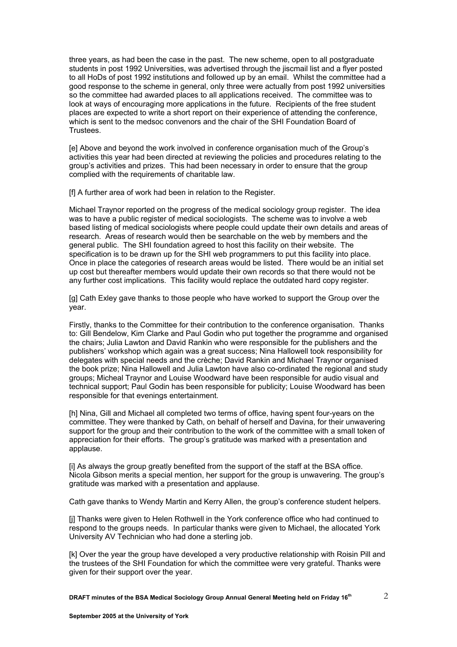three years, as had been the case in the past. The new scheme, open to all postgraduate students in post 1992 Universities, was advertised through the jiscmail list and a flyer posted to all HoDs of post 1992 institutions and followed up by an email. Whilst the committee had a good response to the scheme in general, only three were actually from post 1992 universities so the committee had awarded places to all applications received. The committee was to look at ways of encouraging more applications in the future. Recipients of the free student places are expected to write a short report on their experience of attending the conference, which is sent to the medsoc convenors and the chair of the SHI Foundation Board of Trustees.

[e] Above and beyond the work involved in conference organisation much of the Group's activities this year had been directed at reviewing the policies and procedures relating to the group's activities and prizes. This had been necessary in order to ensure that the group complied with the requirements of charitable law.

[f] A further area of work had been in relation to the Register.

Michael Traynor reported on the progress of the medical sociology group register. The idea was to have a public register of medical sociologists. The scheme was to involve a web based listing of medical sociologists where people could update their own details and areas of research. Areas of research would then be searchable on the web by members and the general public. The SHI foundation agreed to host this facility on their website. The specification is to be drawn up for the SHI web programmers to put this facility into place. Once in place the categories of research areas would be listed. There would be an initial set up cost but thereafter members would update their own records so that there would not be any further cost implications. This facility would replace the outdated hard copy register.

[g] Cath Exley gave thanks to those people who have worked to support the Group over the year.

Firstly, thanks to the Committee for their contribution to the conference organisation. Thanks to: Gill Bendelow, Kim Clarke and Paul Godin who put together the programme and organised the chairs; Julia Lawton and David Rankin who were responsible for the publishers and the publishers' workshop which again was a great success; Nina Hallowell took responsibility for delegates with special needs and the crèche; David Rankin and Michael Traynor organised the book prize; Nina Hallowell and Julia Lawton have also co-ordinated the regional and study groups; Micheal Traynor and Louise Woodward have been responsible for audio visual and technical support; Paul Godin has been responsible for publicity; Louise Woodward has been responsible for that evenings entertainment.

[h] Nina, Gill and Michael all completed two terms of office, having spent four-years on the committee. They were thanked by Cath, on behalf of herself and Davina, for their unwavering support for the group and their contribution to the work of the committee with a small token of appreciation for their efforts. The group's gratitude was marked with a presentation and applause.

[i] As always the group greatly benefited from the support of the staff at the BSA office. Nicola Gibson merits a special mention, her support for the group is unwavering. The group's gratitude was marked with a presentation and applause.

Cath gave thanks to Wendy Martin and Kerry Allen, the group's conference student helpers.

[j] Thanks were given to Helen Rothwell in the York conference office who had continued to respond to the groups needs. In particular thanks were given to Michael, the allocated York University AV Technician who had done a sterling job.

[k] Over the year the group have developed a very productive relationship with Roisin Pill and the trustees of the SHI Foundation for which the committee were very grateful. Thanks were given for their support over the year.

**DRAFT minutes of the BSA Medical Sociology Group Annual General Meeting held on Friday 16th**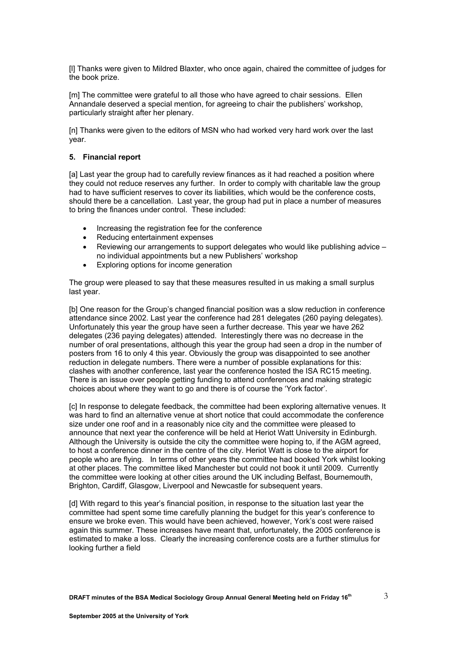[l] Thanks were given to Mildred Blaxter, who once again, chaired the committee of judges for the book prize.

[m] The committee were grateful to all those who have agreed to chair sessions. Ellen Annandale deserved a special mention, for agreeing to chair the publishers' workshop, particularly straight after her plenary.

[n] Thanks were given to the editors of MSN who had worked very hard work over the last year.

#### **5. Financial report**

[a] Last year the group had to carefully review finances as it had reached a position where they could not reduce reserves any further. In order to comply with charitable law the group had to have sufficient reserves to cover its liabilities, which would be the conference costs, should there be a cancellation. Last year, the group had put in place a number of measures to bring the finances under control. These included:

- Increasing the registration fee for the conference
- Reducing entertainment expenses
- Reviewing our arrangements to support delegates who would like publishing advice no individual appointments but a new Publishers' workshop
- Exploring options for income generation

The group were pleased to say that these measures resulted in us making a small surplus last year.

[b] One reason for the Group's changed financial position was a slow reduction in conference attendance since 2002. Last year the conference had 281 delegates (260 paying delegates). Unfortunately this year the group have seen a further decrease. This year we have 262 delegates (236 paying delegates) attended. Interestingly there was no decrease in the number of oral presentations, although this year the group had seen a drop in the number of posters from 16 to only 4 this year. Obviously the group was disappointed to see another reduction in delegate numbers. There were a number of possible explanations for this: clashes with another conference, last year the conference hosted the ISA RC15 meeting. There is an issue over people getting funding to attend conferences and making strategic choices about where they want to go and there is of course the 'York factor'.

[c] In response to delegate feedback, the committee had been exploring alternative venues. It was hard to find an alternative venue at short notice that could accommodate the conference size under one roof and in a reasonably nice city and the committee were pleased to announce that next year the conference will be held at Heriot Watt University in Edinburgh. Although the University is outside the city the committee were hoping to, if the AGM agreed, to host a conference dinner in the centre of the city. Heriot Watt is close to the airport for people who are flying. In terms of other years the committee had booked York whilst looking at other places. The committee liked Manchester but could not book it until 2009. Currently the committee were looking at other cities around the UK including Belfast, Bournemouth, Brighton, Cardiff, Glasgow, Liverpool and Newcastle for subsequent years.

[d] With regard to this year's financial position, in response to the situation last year the committee had spent some time carefully planning the budget for this year's conference to ensure we broke even. This would have been achieved, however, York's cost were raised again this summer. These increases have meant that, unfortunately, the 2005 conference is estimated to make a loss. Clearly the increasing conference costs are a further stimulus for looking further a field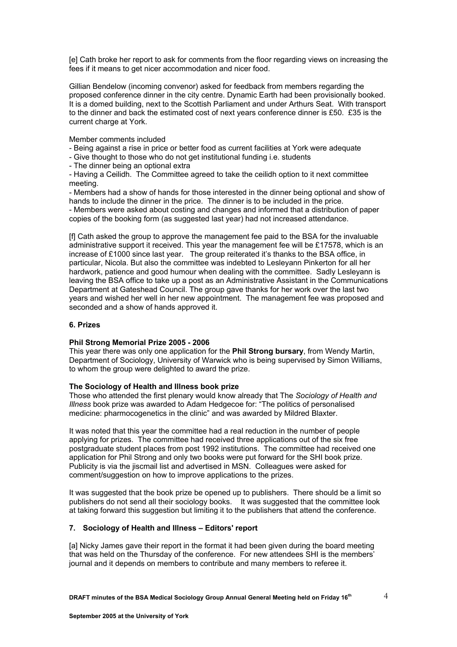[e] Cath broke her report to ask for comments from the floor regarding views on increasing the fees if it means to get nicer accommodation and nicer food.

Gillian Bendelow (incoming convenor) asked for feedback from members regarding the proposed conference dinner in the city centre. Dynamic Earth had been provisionally booked. It is a domed building, next to the Scottish Parliament and under Arthurs Seat. With transport to the dinner and back the estimated cost of next years conference dinner is £50. £35 is the current charge at York.

Member comments included

- Being against a rise in price or better food as current facilities at York were adequate
- Give thought to those who do not get institutional funding i.e. students
- The dinner being an optional extra

- Having a Ceilidh. The Committee agreed to take the ceilidh option to it next committee meeting.

- Members had a show of hands for those interested in the dinner being optional and show of hands to include the dinner in the price. The dinner is to be included in the price.

- Members were asked about costing and changes and informed that a distribution of paper copies of the booking form (as suggested last year) had not increased attendance.

[f] Cath asked the group to approve the management fee paid to the BSA for the invaluable administrative support it received. This year the management fee will be £17578, which is an increase of £1000 since last year. The group reiterated it's thanks to the BSA office, in particular, Nicola. But also the committee was indebted to Lesleyann Pinkerton for all her hardwork, patience and good humour when dealing with the committee. Sadly Lesleyann is leaving the BSA office to take up a post as an Administrative Assistant in the Communications Department at Gateshead Council. The group gave thanks for her work over the last two years and wished her well in her new appointment. The management fee was proposed and seconded and a show of hands approved it.

## **6. Prizes**

# **Phil Strong Memorial Prize 2005 - 2006**

This year there was only one application for the **Phil Strong bursary**, from Wendy Martin, Department of Sociology, University of Warwick who is being supervised by Simon Williams, to whom the group were delighted to award the prize.

### **The Sociology of Health and Illness book prize**

Those who attended the first plenary would know already that The *Sociology of Health and Illness* book prize was awarded to Adam Hedgecoe for: "The politics of personalised medicine: pharmocogenetics in the clinic" and was awarded by Mildred Blaxter.

It was noted that this year the committee had a real reduction in the number of people applying for prizes. The committee had received three applications out of the six free postgraduate student places from post 1992 institutions. The committee had received one application for Phil Strong and only two books were put forward for the SHI book prize. Publicity is via the jiscmail list and advertised in MSN. Colleagues were asked for comment/suggestion on how to improve applications to the prizes.

It was suggested that the book prize be opened up to publishers. There should be a limit so publishers do not send all their sociology books. It was suggested that the committee look at taking forward this suggestion but limiting it to the publishers that attend the conference.

# **7. Sociology of Health and Illness – Editors' report**

[a] Nicky James gave their report in the format it had been given during the board meeting that was held on the Thursday of the conference. For new attendees SHI is the members' journal and it depends on members to contribute and many members to referee it.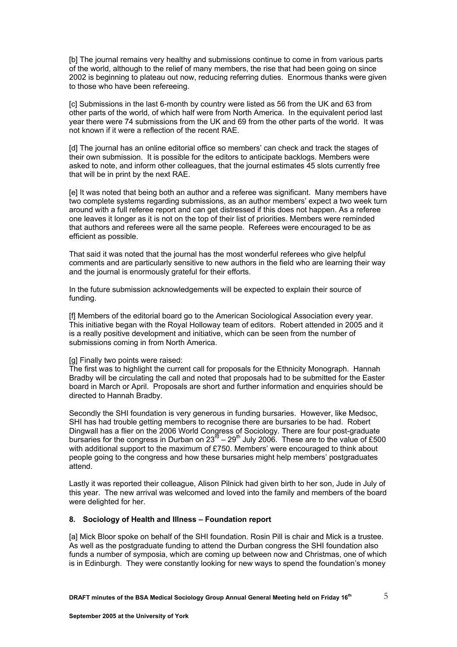[b] The journal remains very healthy and submissions continue to come in from various parts of the world, although to the relief of many members, the rise that had been going on since 2002 is beginning to plateau out now, reducing referring duties. Enormous thanks were given to those who have been refereeing.

[c] Submissions in the last 6-month by country were listed as 56 from the UK and 63 from other parts of the world, of which half were from North America. In the equivalent period last year there were 74 submissions from the UK and 69 from the other parts of the world. It was not known if it were a reflection of the recent RAE.

[d] The journal has an online editorial office so members' can check and track the stages of their own submission. It is possible for the editors to anticipate backlogs. Members were asked to note, and inform other colleagues, that the journal estimates 45 slots currently free that will be in print by the next RAE.

[e] It was noted that being both an author and a referee was significant. Many members have two complete systems regarding submissions, as an author members' expect a two week turn around with a full referee report and can get distressed if this does not happen. As a referee one leaves it longer as it is not on the top of their list of priorities. Members were reminded that authors and referees were all the same people. Referees were encouraged to be as efficient as possible.

That said it was noted that the journal has the most wonderful referees who give helpful comments and are particularly sensitive to new authors in the field who are learning their way and the journal is enormously grateful for their efforts.

In the future submission acknowledgements will be expected to explain their source of funding.

[f] Members of the editorial board go to the American Sociological Association every year. This initiative began with the Royal Holloway team of editors. Robert attended in 2005 and it is a really positive development and initiative, which can be seen from the number of submissions coming in from North America.

### [g] Finally two points were raised:

The first was to highlight the current call for proposals for the Ethnicity Monograph. Hannah Bradby will be circulating the call and noted that proposals had to be submitted for the Easter board in March or April. Proposals are short and further information and enquiries should be directed to Hannah Bradby.

Secondly the SHI foundation is very generous in funding bursaries. However, like Medsoc, SHI has had trouble getting members to recognise there are bursaries to be had. Robert Dingwall has a flier on the 2006 World Congress of Sociology. There are four post-graduate bursaries for the congress in Durban on 23 $^{\overline{a}}$  – 29<sup>th</sup> July 2006. These are to the value of £500 with additional support to the maximum of £750. Members' were encouraged to think about people going to the congress and how these bursaries might help members' postgraduates attend.

Lastly it was reported their colleague, Alison Pilnick had given birth to her son, Jude in July of this year. The new arrival was welcomed and loved into the family and members of the board were delighted for her.

#### **8. Sociology of Health and Illness – Foundation report**

[a] Mick Bloor spoke on behalf of the SHI foundation. Rosin Pill is chair and Mick is a trustee. As well as the postgraduate funding to attend the Durban congress the SHI foundation also funds a number of symposia, which are coming up between now and Christmas, one of which is in Edinburgh. They were constantly looking for new ways to spend the foundation's money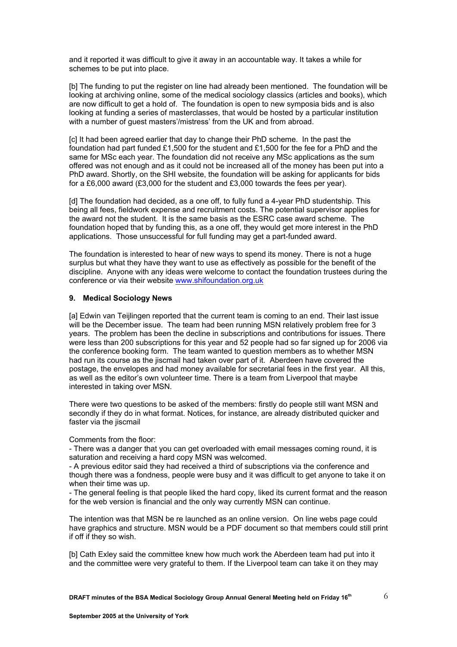and it reported it was difficult to give it away in an accountable way. It takes a while for schemes to be put into place.

[b] The funding to put the register on line had already been mentioned. The foundation will be looking at archiving online, some of the medical sociology classics (articles and books), which are now difficult to get a hold of. The foundation is open to new symposia bids and is also looking at funding a series of masterclasses, that would be hosted by a particular institution with a number of guest masters'/mistress' from the UK and from abroad.

[c] It had been agreed earlier that day to change their PhD scheme. In the past the foundation had part funded £1,500 for the student and £1,500 for the fee for a PhD and the same for MSc each year. The foundation did not receive any MSc applications as the sum offered was not enough and as it could not be increased all of the money has been put into a PhD award. Shortly, on the SHI website, the foundation will be asking for applicants for bids for a £6,000 award (£3,000 for the student and £3,000 towards the fees per year).

[d] The foundation had decided, as a one off, to fully fund a 4-year PhD studentship. This being all fees, fieldwork expense and recruitment costs. The potential supervisor applies for the award not the student. It is the same basis as the ESRC case award scheme. The foundation hoped that by funding this, as a one off, they would get more interest in the PhD applications. Those unsuccessful for full funding may get a part-funded award.

The foundation is interested to hear of new ways to spend its money. There is not a huge surplus but what they have they want to use as effectively as possible for the benefit of the discipline. Anyone with any ideas were welcome to contact the foundation trustees during the conference or via their website [www.shifoundation.org.uk](http://www.shifoundation.org.uk/)

## **9. Medical Sociology News**

[a] Edwin van Teijlingen reported that the current team is coming to an end. Their last issue will be the December issue. The team had been running MSN relatively problem free for 3 years. The problem has been the decline in subscriptions and contributions for issues. There were less than 200 subscriptions for this year and 52 people had so far signed up for 2006 via the conference booking form. The team wanted to question members as to whether MSN had run its course as the jiscmail had taken over part of it. Aberdeen have covered the postage, the envelopes and had money available for secretarial fees in the first year. All this, as well as the editor's own volunteer time. There is a team from Liverpool that maybe interested in taking over MSN.

There were two questions to be asked of the members: firstly do people still want MSN and secondly if they do in what format. Notices, for instance, are already distributed quicker and faster via the jiscmail

Comments from the floor:

- There was a danger that you can get overloaded with email messages coming round, it is saturation and receiving a hard copy MSN was welcomed.

- A previous editor said they had received a third of subscriptions via the conference and though there was a fondness, people were busy and it was difficult to get anyone to take it on when their time was up.

- The general feeling is that people liked the hard copy, liked its current format and the reason for the web version is financial and the only way currently MSN can continue.

The intention was that MSN be re launched as an online version. On line webs page could have graphics and structure. MSN would be a PDF document so that members could still print if off if they so wish.

[b] Cath Exley said the committee knew how much work the Aberdeen team had put into it and the committee were very grateful to them. If the Liverpool team can take it on they may